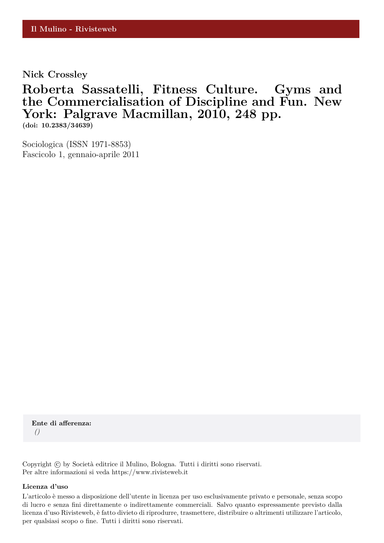**Nick Crossley**

# **Roberta Sassatelli, Fitness Culture. Gyms and the Commercialisation of Discipline and Fun. New York: Palgrave Macmillan, 2010, 248 pp.**

**(doi: 10.2383/34639)**

Sociologica (ISSN 1971-8853) Fascicolo 1, gennaio-aprile 2011

**Ente di afferenza:** *()*

Copyright © by Società editrice il Mulino, Bologna. Tutti i diritti sono riservati. Per altre informazioni si veda https://www.rivisteweb.it

#### **Licenza d'uso**

L'articolo è messo a disposizione dell'utente in licenza per uso esclusivamente privato e personale, senza scopo di lucro e senza fini direttamente o indirettamente commerciali. Salvo quanto espressamente previsto dalla licenza d'uso Rivisteweb, è fatto divieto di riprodurre, trasmettere, distribuire o altrimenti utilizzare l'articolo, per qualsiasi scopo o fine. Tutti i diritti sono riservati.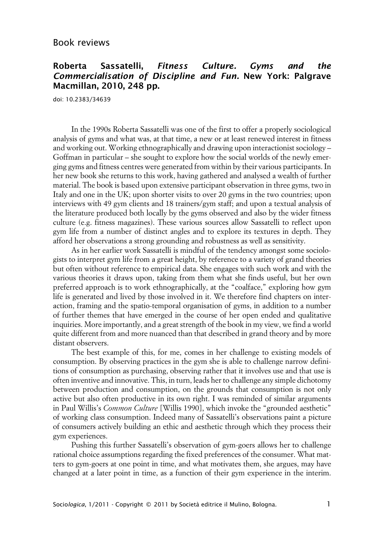## **Roberta Sassatelli, Fitness Culture. Gyms and the Commercialisation of Discipline and Fun. New York: Palgrave Macmillan, 2010, 248 pp.**

doi: 10.2383/34639

In the 1990s Roberta Sassatelli was one of the first to offer a properly sociological analysis of gyms and what was, at that time, a new or at least renewed interest in fitness and working out. Working ethnographically and drawing upon interactionist sociology – Goffman in particular – she sought to explore how the social worlds of the newly emerging gyms and fitness centres were generated from within by their various participants. In her new book she returns to this work, having gathered and analysed a wealth of further material. The book is based upon extensive participant observation in three gyms, two in Italy and one in the UK; upon shorter visits to over 20 gyms in the two countries; upon interviews with 49 gym clients and 18 trainers/gym staff; and upon a textual analysis of the literature produced both locally by the gyms observed and also by the wider fitness culture (e.g. fitness magazines). These various sources allow Sassatelli to reflect upon gym life from a number of distinct angles and to explore its textures in depth. They afford her observations a strong grounding and robustness as well as sensitivity.

As in her earlier work Sassatelli is mindful of the tendency amongst some sociologists to interpret gym life from a great height, by reference to a variety of grand theories but often without reference to empirical data. She engages with such work and with the various theories it draws upon, taking from them what she finds useful, but her own preferred approach is to work ethnographically, at the "coalface," exploring how gym life is generated and lived by those involved in it. We therefore find chapters on interaction, framing and the spatio-temporal organisation of gyms, in addition to a number of further themes that have emerged in the course of her open ended and qualitative inquiries. More importantly, and a great strength of the book in my view, we find a world quite different from and more nuanced than that described in grand theory and by more distant observers.

The best example of this, for me, comes in her challenge to existing models of consumption. By observing practices in the gym she is able to challenge narrow definitions of consumption as purchasing, observing rather that it involves use and that use is often inventive and innovative. This, in turn, leads her to challenge any simple dichotomy between production and consumption, on the grounds that consumption is not only active but also often productive in its own right. I was reminded of similar arguments in Paul Willis's *Common Culture* [Willis 1990], which invoke the "grounded aesthetic" of working class consumption. Indeed many of Sassatelli's observations paint a picture of consumers actively building an ethic and aesthetic through which they process their gym experiences.

Pushing this further Sassatelli's observation of gym-goers allows her to challenge rational choice assumptions regarding the fixed preferences of the consumer. What matters to gym-goers at one point in time, and what motivates them, she argues, may have changed at a later point in time, as a function of their gym experience in the interim.